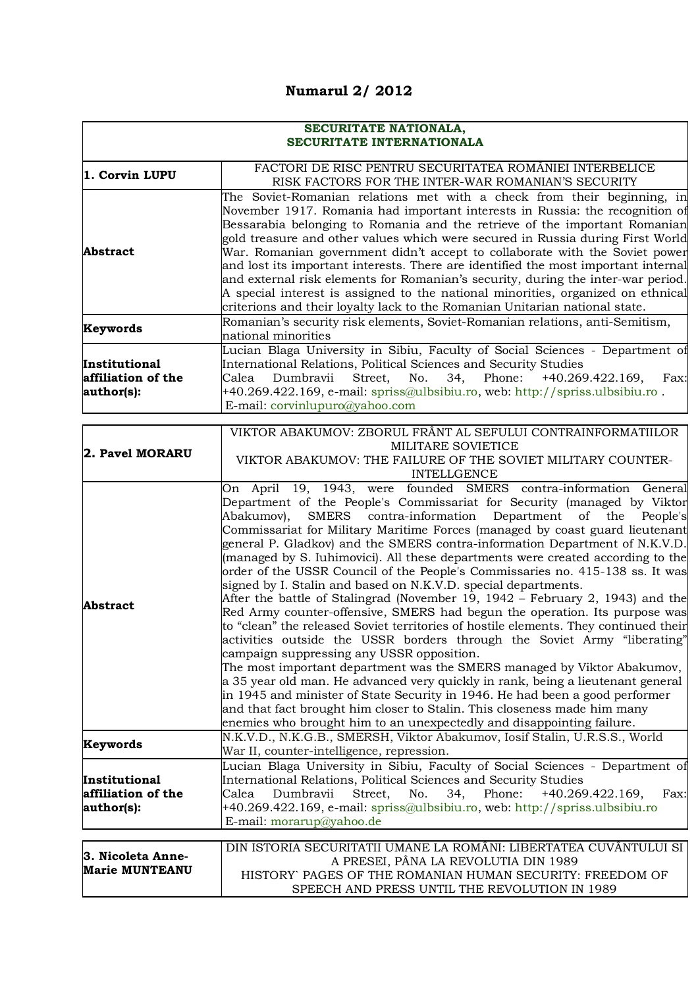## **Numarul 2/ 2012**

| SECURITATE NATIONALA,<br>SECURITATE INTERNATIONALA |                                                                                                                                                                                                                                                                                                                                                                                                                                                                                                                                                                                                                                                                                                                                                                                                                                                                                                                                                                                                                                                                                                                                                                                                                                                                                                                                                                                                                                                                                                                                                                                                                                                                                            |
|----------------------------------------------------|--------------------------------------------------------------------------------------------------------------------------------------------------------------------------------------------------------------------------------------------------------------------------------------------------------------------------------------------------------------------------------------------------------------------------------------------------------------------------------------------------------------------------------------------------------------------------------------------------------------------------------------------------------------------------------------------------------------------------------------------------------------------------------------------------------------------------------------------------------------------------------------------------------------------------------------------------------------------------------------------------------------------------------------------------------------------------------------------------------------------------------------------------------------------------------------------------------------------------------------------------------------------------------------------------------------------------------------------------------------------------------------------------------------------------------------------------------------------------------------------------------------------------------------------------------------------------------------------------------------------------------------------------------------------------------------------|
| 1. Corvin LUPU                                     | FACTORI DE RISC PENTRU SECURITATEA ROMÂNIEI INTERBELICE<br>RISK FACTORS FOR THE INTER-WAR ROMANIAN'S SECURITY                                                                                                                                                                                                                                                                                                                                                                                                                                                                                                                                                                                                                                                                                                                                                                                                                                                                                                                                                                                                                                                                                                                                                                                                                                                                                                                                                                                                                                                                                                                                                                              |
| <b>Abstract</b>                                    | The Soviet-Romanian relations met with a check from their beginning, in<br>November 1917. Romania had important interests in Russia: the recognition of<br>Bessarabia belonging to Romania and the retrieve of the important Romanian<br>gold treasure and other values which were secured in Russia during First World<br>War. Romanian government didn't accept to collaborate with the Soviet power<br>and lost its important interests. There are identified the most important internal<br>and external risk elements for Romanian's security, during the inter-war period.<br>A special interest is assigned to the national minorities, organized on ethnical<br>criterions and their loyalty lack to the Romanian Unitarian national state.                                                                                                                                                                                                                                                                                                                                                                                                                                                                                                                                                                                                                                                                                                                                                                                                                                                                                                                                        |
| Keywords                                           | Romanian's security risk elements, Soviet-Romanian relations, anti-Semitism,<br>national minorities                                                                                                                                                                                                                                                                                                                                                                                                                                                                                                                                                                                                                                                                                                                                                                                                                                                                                                                                                                                                                                                                                                                                                                                                                                                                                                                                                                                                                                                                                                                                                                                        |
| Institutional<br>affiliation of the<br>author(s):  | Lucian Blaga University in Sibiu, Faculty of Social Sciences - Department of<br>International Relations, Political Sciences and Security Studies<br>Dumbravii<br>Street,<br>Phone:<br>$+40.269.422.169,$<br>Calea<br>No.<br>34,<br>Fax:<br>+40.269.422.169, e-mail: spriss@ulbsibiu.ro, web: http://spriss.ulbsibiu.ro.<br>E-mail: corvinlupuro@yahoo.com                                                                                                                                                                                                                                                                                                                                                                                                                                                                                                                                                                                                                                                                                                                                                                                                                                                                                                                                                                                                                                                                                                                                                                                                                                                                                                                                  |
| 2. Pavel MORARU                                    | VIKTOR ABAKUMOV: ZBORUL FRÂNT AL SEFULUI CONTRAINFORMATIILOR<br>MILITARE SOVIETICE<br>VIKTOR ABAKUMOV: THE FAILURE OF THE SOVIET MILITARY COUNTER-<br><b>INTELLGENCE</b>                                                                                                                                                                                                                                                                                                                                                                                                                                                                                                                                                                                                                                                                                                                                                                                                                                                                                                                                                                                                                                                                                                                                                                                                                                                                                                                                                                                                                                                                                                                   |
| <b>Abstract</b><br>Keywords<br>Institutional       | On April 19, 1943, were founded SMERS contra-information General<br>Department of the People's Commissariat for Security (managed by Viktor<br>SMERS contra-information Department of the<br>Abakumov),<br>People's<br>Commissariat for Military Maritime Forces (managed by coast guard lieutenant<br>general P. Gladkov) and the SMERS contra-information Department of N.K.V.D.<br>(managed by S. Iuhimovici). All these departments were created according to the<br>order of the USSR Council of the People's Commissaries no. 415-138 ss. It was<br>signed by I. Stalin and based on N.K.V.D. special departments.<br>After the battle of Stalingrad (November 19, 1942 – February 2, 1943) and the<br>Red Army counter-offensive, SMERS had begun the operation. Its purpose was<br>to "clean" the released Soviet territories of hostile elements. They continued their<br>activities outside the USSR borders through the Soviet Army "liberating"<br>campaign suppressing any USSR opposition.<br>The most important department was the SMERS managed by Viktor Abakumov,<br>a 35 year old man. He advanced very quickly in rank, being a lieutenant general<br>in 1945 and minister of State Security in 1946. He had been a good performer<br>and that fact brought him closer to Stalin. This closeness made him many<br>enemies who brought him to an unexpectedly and disappointing failure.<br>N.K.V.D., N.K.G.B., SMERSH, Viktor Abakumov, Iosif Stalin, U.R.S.S., World<br>War II, counter-intelligence, repression.<br>Lucian Blaga University in Sibiu, Faculty of Social Sciences - Department of<br>International Relations, Political Sciences and Security Studies |
| affiliation of the<br>author(s):                   | Dumbravii<br>Street,<br>No.<br>34,<br>Phone:<br>+40.269.422.169,<br>Fax:<br>Calea<br>+40.269.422.169, e-mail: spriss@ulbsibiu.ro, web: http://spriss.ulbsibiu.ro<br>E-mail: morarup@yahoo.de                                                                                                                                                                                                                                                                                                                                                                                                                                                                                                                                                                                                                                                                                                                                                                                                                                                                                                                                                                                                                                                                                                                                                                                                                                                                                                                                                                                                                                                                                               |
| 3. Nicoleta Anne-<br><b>Marie MUNTEANU</b>         | DIN ISTORIA SECURITATII UMANE LA ROMÂNI: LIBERTATEA CUVÂNTULUI SI<br>A PRESEI, PÂNA LA REVOLUTIA DIN 1989<br>HISTORY PAGES OF THE ROMANIAN HUMAN SECURITY: FREEDOM OF<br>SPEECH AND PRESS UNTIL THE REVOLUTION IN 1989                                                                                                                                                                                                                                                                                                                                                                                                                                                                                                                                                                                                                                                                                                                                                                                                                                                                                                                                                                                                                                                                                                                                                                                                                                                                                                                                                                                                                                                                     |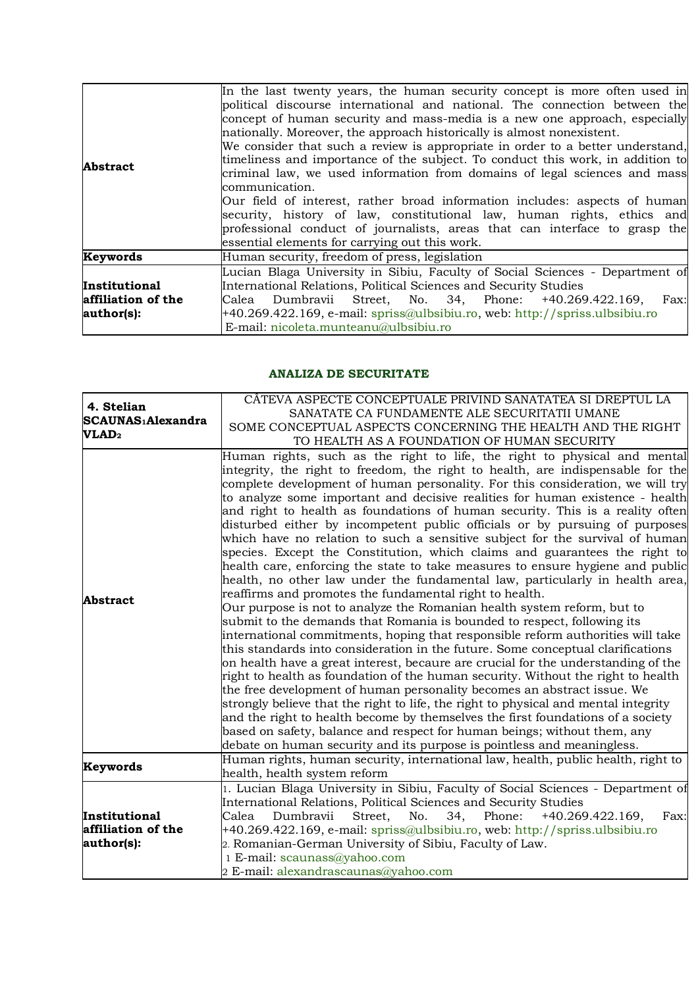| Abstract                                                 | In the last twenty years, the human security concept is more often used in<br>political discourse international and national. The connection between the<br>concept of human security and mass-media is a new one approach, especially<br>nationally. Moreover, the approach historically is almost nonexistent.<br>We consider that such a review is appropriate in order to a better understand,<br>timeliness and importance of the subject. To conduct this work, in addition to<br>criminal law, we used information from domains of legal sciences and mass<br>communication.<br>Our field of interest, rather broad information includes: aspects of human<br>security, history of law, constitutional law, human rights, ethics and<br>professional conduct of journalists, areas that can interface to grasp the<br>essential elements for carrying out this work. |
|----------------------------------------------------------|-----------------------------------------------------------------------------------------------------------------------------------------------------------------------------------------------------------------------------------------------------------------------------------------------------------------------------------------------------------------------------------------------------------------------------------------------------------------------------------------------------------------------------------------------------------------------------------------------------------------------------------------------------------------------------------------------------------------------------------------------------------------------------------------------------------------------------------------------------------------------------|
| Keywords                                                 | Human security, freedom of press, legislation                                                                                                                                                                                                                                                                                                                                                                                                                                                                                                                                                                                                                                                                                                                                                                                                                               |
| <b>Institutional</b><br>affiliation of the<br>author(s): | Lucian Blaga University in Sibiu, Faculty of Social Sciences - Department of<br>International Relations, Political Sciences and Security Studies<br>Calea Dumbravii Street, No. 34, Phone: +40.269.422.169,<br>Fax:<br>$+40.269.422.169$ , e-mail: spriss@ulbsibiu.ro, web: http://spriss.ulbsibiu.ro<br>E-mail: nicoleta.munteanu@ulbsibiu.ro                                                                                                                                                                                                                                                                                                                                                                                                                                                                                                                              |

## **ANALIZA DE SECURITATE**

| 4. Stelian<br>SCAUNAS <sup>1</sup> Alexandra<br>VLAD <sub>2</sub> | CÂTEVA ASPECTE CONCEPTUALE PRIVIND SANATATEA SI DREPTUL LA                          |
|-------------------------------------------------------------------|-------------------------------------------------------------------------------------|
|                                                                   | SANATATE CA FUNDAMENTE ALE SECURITATII UMANE                                        |
|                                                                   | SOME CONCEPTUAL ASPECTS CONCERNING THE HEALTH AND THE RIGHT                         |
|                                                                   | TO HEALTH AS A FOUNDATION OF HUMAN SECURITY                                         |
|                                                                   | Human rights, such as the right to life, the right to physical and mental           |
|                                                                   | integrity, the right to freedom, the right to health, are indispensable for the     |
|                                                                   | complete development of human personality. For this consideration, we will try      |
|                                                                   | to analyze some important and decisive realities for human existence - health       |
|                                                                   | and right to health as foundations of human security. This is a reality often       |
|                                                                   | disturbed either by incompetent public officials or by pursuing of purposes         |
|                                                                   | which have no relation to such a sensitive subject for the survival of human        |
|                                                                   | species. Except the Constitution, which claims and guarantees the right to          |
|                                                                   | health care, enforcing the state to take measures to ensure hygiene and public      |
|                                                                   | health, no other law under the fundamental law, particularly in health area,        |
|                                                                   | reaffirms and promotes the fundamental right to health.                             |
| Abstract                                                          | Our purpose is not to analyze the Romanian health system reform, but to             |
|                                                                   | submit to the demands that Romania is bounded to respect, following its             |
|                                                                   | international commitments, hoping that responsible reform authorities will take     |
|                                                                   | this standards into consideration in the future. Some conceptual clarifications     |
|                                                                   | on health have a great interest, becaure are crucial for the understanding of the   |
|                                                                   | right to health as foundation of the human security. Without the right to health    |
|                                                                   | the free development of human personality becomes an abstract issue. We             |
|                                                                   | strongly believe that the right to life, the right to physical and mental integrity |
|                                                                   | and the right to health become by themselves the first foundations of a society     |
|                                                                   |                                                                                     |
|                                                                   | based on safety, balance and respect for human beings; without them, any            |
|                                                                   | debate on human security and its purpose is pointless and meaningless.              |
| Keywords                                                          | Human rights, human security, international law, health, public health, right to    |
|                                                                   | health, health system reform                                                        |
|                                                                   | 1. Lucian Blaga University in Sibiu, Faculty of Social Sciences - Department of     |
|                                                                   | International Relations, Political Sciences and Security Studies                    |
| Institutional                                                     | Fax:<br>Dumbravii<br>Street,<br>No.<br>34, Phone:<br>$+40.269.422.169,$<br>Calea    |
| affiliation of the                                                | +40.269.422.169, e-mail: spriss@ulbsibiu.ro, web: http://spriss.ulbsibiu.ro         |
| author(s):                                                        | 2. Romanian-German University of Sibiu, Faculty of Law.                             |
|                                                                   | 1 E-mail: scaunass@yahoo.com                                                        |
|                                                                   | 2 E-mail: alexandrascaunas@yahoo.com                                                |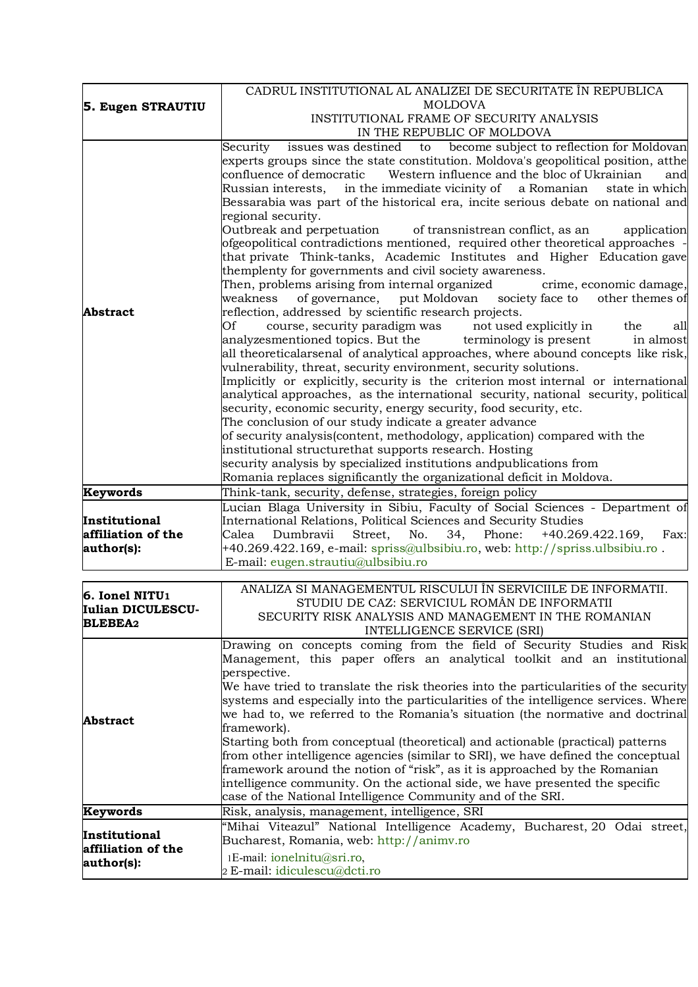|                                     | CADRUL INSTITUTIONAL AL ANALIZEI DE SECURITATE ÎN REPUBLICA                                                                                                           |
|-------------------------------------|-----------------------------------------------------------------------------------------------------------------------------------------------------------------------|
| 5. Eugen STRAUTIU                   | <b>MOLDOVA</b>                                                                                                                                                        |
|                                     | INSTITUTIONAL FRAME OF SECURITY ANALYSIS                                                                                                                              |
|                                     | IN THE REPUBLIC OF MOLDOVA                                                                                                                                            |
|                                     | issues was destined to become subject to reflection for Moldovan<br>Security                                                                                          |
|                                     | experts groups since the state constitution. Moldova's geopolitical position, atthe                                                                                   |
|                                     | confluence of democratic<br>Western influence and the bloc of Ukrainian<br>and                                                                                        |
|                                     | in the immediate vicinity of a Romanian<br>Russian interests,<br>state in which<br>Bessarabia was part of the historical era, incite serious debate on national and   |
|                                     | regional security.                                                                                                                                                    |
|                                     | Outbreak and perpetuation<br>of transnistrean conflict, as an<br>application                                                                                          |
|                                     | ofgeopolitical contradictions mentioned, required other theoretical approaches -                                                                                      |
|                                     | that private Think-tanks, Academic Institutes and Higher Education gave                                                                                               |
|                                     | themplenty for governments and civil society awareness.                                                                                                               |
|                                     | Then, problems arising from internal organized<br>crime, economic damage,                                                                                             |
|                                     | weakness of governance, put Moldovan society face to other themes of                                                                                                  |
| Abstract                            | reflection, addressed by scientific research projects.                                                                                                                |
|                                     | Of<br>course, security paradigm was<br>not used explicitly in<br>the<br>all                                                                                           |
|                                     | terminology is present<br>analyzesmentioned topics. But the<br>in almost                                                                                              |
|                                     | all theoreticalarsenal of analytical approaches, where abound concepts like risk,<br>vulnerability, threat, security environment, security solutions.                 |
|                                     | Implicitly or explicitly, security is the criterion most internal or international                                                                                    |
|                                     | analytical approaches, as the international security, national security, political                                                                                    |
|                                     | security, economic security, energy security, food security, etc.                                                                                                     |
|                                     | The conclusion of our study indicate a greater advance                                                                                                                |
|                                     | of security analysis(content, methodology, application) compared with the                                                                                             |
|                                     | institutional structurethat supports research. Hosting                                                                                                                |
|                                     | security analysis by specialized institutions andpublications from                                                                                                    |
|                                     | Romania replaces significantly the organizational deficit in Moldova.                                                                                                 |
| Keywords                            | Think-tank, security, defense, strategies, foreign policy                                                                                                             |
|                                     | Lucian Blaga University in Sibiu, Faculty of Social Sciences - Department of                                                                                          |
| Institutional<br>affiliation of the | International Relations, Political Sciences and Security Studies<br>Dumbravii<br>Street,<br>34, Phone:<br>$+40.269.422.169,$<br>Calea<br>No.<br>Fax:                  |
| author(s):                          | +40.269.422.169, e-mail: spriss@ulbsibiu.ro, web: http://spriss.ulbsibiu.ro.                                                                                          |
|                                     | E-mail: eugen.strautiu@ulbsibiu.ro                                                                                                                                    |
|                                     |                                                                                                                                                                       |
| 6. Ionel NITU1                      |                                                                                                                                                                       |
|                                     | ANALIZA SI MANAGEMENTUL RISCULUI ÎN SERVICIILE DE INFORMATII.                                                                                                         |
|                                     | STUDIU DE CAZ: SERVICIUL ROMÂN DE INFORMATII                                                                                                                          |
| Iulian DICULESCU-                   | SECURITY RISK ANALYSIS AND MANAGEMENT IN THE ROMANIAN                                                                                                                 |
| <b>BLEBEA2</b>                      | INTELLIGENCE SERVICE (SRI)                                                                                                                                            |
|                                     |                                                                                                                                                                       |
|                                     | Management, this paper offers an analytical toolkit and an institutional                                                                                              |
|                                     | perspective.                                                                                                                                                          |
|                                     | We have tried to translate the risk theories into the particularities of the security                                                                                 |
|                                     | systems and especially into the particularities of the intelligence services. Where<br>we had to, we referred to the Romania's situation (the normative and doctrinal |
| <b>Abstract</b>                     | framework).                                                                                                                                                           |
|                                     | Starting both from conceptual (theoretical) and actionable (practical) patterns                                                                                       |
|                                     | Drawing on concepts coming from the field of Security Studies and Risk<br>from other intelligence agencies (similar to SRI), we have defined the conceptual           |
|                                     | framework around the notion of "risk", as it is approached by the Romanian                                                                                            |
|                                     | intelligence community. On the actional side, we have presented the specific                                                                                          |
|                                     | case of the National Intelligence Community and of the SRI.                                                                                                           |
| Keywords                            | Risk, analysis, management, intelligence, SRI                                                                                                                         |
| Institutional                       | "Mihai Viteazul" National Intelligence Academy, Bucharest, 20 Odai street,                                                                                            |
| affiliation of the                  | Bucharest, Romania, web: http://animv.ro                                                                                                                              |
| author(s):                          | 1E-mail: ionelnitu@sri.ro,<br>2 E-mail: idiculescu@dcti.ro                                                                                                            |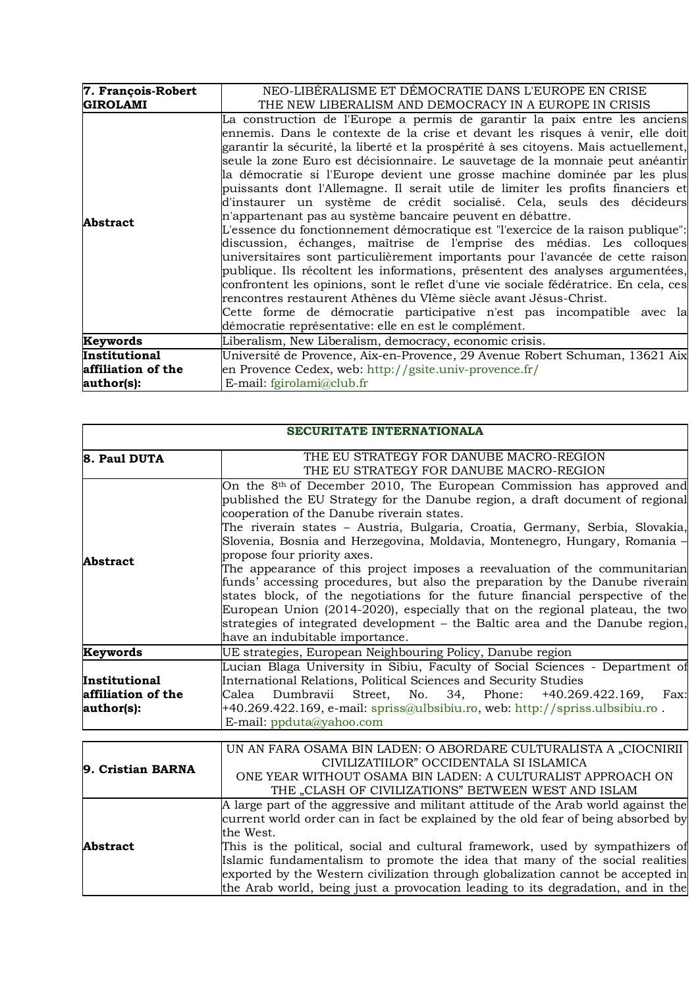| 7. François-Robert   | NEO-LIBERALISME ET DEMOCRATIE DANS L'EUROPE EN CRISE                                                                                                                                                                                                                                                                                                                                                                                                                                                                                                                                                                                                                                                                                                                                                                                                                                                                                                                                                                                                                                                                                                                                                                                                                            |
|----------------------|---------------------------------------------------------------------------------------------------------------------------------------------------------------------------------------------------------------------------------------------------------------------------------------------------------------------------------------------------------------------------------------------------------------------------------------------------------------------------------------------------------------------------------------------------------------------------------------------------------------------------------------------------------------------------------------------------------------------------------------------------------------------------------------------------------------------------------------------------------------------------------------------------------------------------------------------------------------------------------------------------------------------------------------------------------------------------------------------------------------------------------------------------------------------------------------------------------------------------------------------------------------------------------|
| <b>GIROLAMI</b>      | THE NEW LIBERALISM AND DEMOCRACY IN A EUROPE IN CRISIS                                                                                                                                                                                                                                                                                                                                                                                                                                                                                                                                                                                                                                                                                                                                                                                                                                                                                                                                                                                                                                                                                                                                                                                                                          |
| <b>Abstract</b>      | La construction de l'Europe a permis de garantir la paix entre les anciens<br>ennemis. Dans le contexte de la crise et devant les risques à venir, elle doit<br>garantir la sécurité, la liberté et la prospérité à ses citoyens. Mais actuellement,<br>seule la zone Euro est décisionnaire. Le sauvetage de la monnaie peut anéantir<br>la démocratie si l'Europe devient une grosse machine dominée par les plus<br>puissants dont l'Allemagne. Il serait utile de limiter les profits financiers et<br>d'instaurer un système de crédit socialisé. Cela, seuls des décideurs<br>n'appartenant pas au système bancaire peuvent en débattre.<br>L'essence du fonctionnement démocratique est "l'exercice de la raison publique":<br>discussion, échanges, maîtrise de l'emprise des médias. Les colloques<br>universitaires sont particulièrement importants pour l'avancée de cette raison<br>publique. Ils récoltent les informations, présentent des analyses argumentées,<br>confrontent les opinions, sont le reflet d'une vie sociale fédératrice. En cela, ces<br>rencontres restaurent Athènes du VIème siècle avant Jésus-Christ.<br>Cette forme de démocratie participative n'est pas incompatible avec la<br>démocratie représentative: elle en est le complément. |
| Keywords             | Liberalism, New Liberalism, democracy, economic crisis.                                                                                                                                                                                                                                                                                                                                                                                                                                                                                                                                                                                                                                                                                                                                                                                                                                                                                                                                                                                                                                                                                                                                                                                                                         |
| <b>Institutional</b> | Université de Provence, Aix-en-Provence, 29 Avenue Robert Schuman, 13621 Aix                                                                                                                                                                                                                                                                                                                                                                                                                                                                                                                                                                                                                                                                                                                                                                                                                                                                                                                                                                                                                                                                                                                                                                                                    |
| affiliation of the   | en Provence Cedex, web: http://gsite.univ-provence.fr/                                                                                                                                                                                                                                                                                                                                                                                                                                                                                                                                                                                                                                                                                                                                                                                                                                                                                                                                                                                                                                                                                                                                                                                                                          |
| author(s):           | E-mail: fgirolami@club.fr                                                                                                                                                                                                                                                                                                                                                                                                                                                                                                                                                                                                                                                                                                                                                                                                                                                                                                                                                                                                                                                                                                                                                                                                                                                       |

| <b>SECURITATE INTERNATIONALA</b>                  |                                                                                                                                                                                                                                                                                                                                                                                                                                                                                                                                                                                                                                                                                                                                                                                                                                                                  |
|---------------------------------------------------|------------------------------------------------------------------------------------------------------------------------------------------------------------------------------------------------------------------------------------------------------------------------------------------------------------------------------------------------------------------------------------------------------------------------------------------------------------------------------------------------------------------------------------------------------------------------------------------------------------------------------------------------------------------------------------------------------------------------------------------------------------------------------------------------------------------------------------------------------------------|
| 8. Paul DUTA                                      | THE EU STRATEGY FOR DANUBE MACRO-REGION<br>THE EU STRATEGY FOR DANUBE MACRO-REGION                                                                                                                                                                                                                                                                                                                                                                                                                                                                                                                                                                                                                                                                                                                                                                               |
| <b>Abstract</b>                                   | On the 8 <sup>th</sup> of December 2010, The European Commission has approved and<br>published the EU Strategy for the Danube region, a draft document of regional<br>cooperation of the Danube riverain states.<br>The riverain states - Austria, Bulgaria, Croatia, Germany, Serbia, Slovakia,<br>Slovenia, Bosnia and Herzegovina, Moldavia, Montenegro, Hungary, Romania -<br>propose four priority axes.<br>The appearance of this project imposes a reevaluation of the communitarian<br>funds' accessing procedures, but also the preparation by the Danube riverain<br>states block, of the negotiations for the future financial perspective of the<br>European Union (2014-2020), especially that on the regional plateau, the two<br>strategies of integrated development – the Baltic area and the Danube region,<br>have an indubitable importance. |
| Keywords                                          | UE strategies, European Neighbouring Policy, Danube region                                                                                                                                                                                                                                                                                                                                                                                                                                                                                                                                                                                                                                                                                                                                                                                                       |
| Institutional<br>affiliation of the<br>author(s): | Lucian Blaga University in Sibiu, Faculty of Social Sciences - Department of<br>International Relations, Political Sciences and Security Studies<br>Dumbravii Street, No. 34, Phone:<br>+40.269.422.169,<br>Calea<br>Fax:<br>+40.269.422.169, e-mail: spriss@ulbsibiu.ro, web: http://spriss.ulbsibiu.ro.<br>E-mail: ppduta@yahoo.com                                                                                                                                                                                                                                                                                                                                                                                                                                                                                                                            |
| 9. Cristian BARNA                                 | UN AN FARA OSAMA BIN LADEN: O ABORDARE CULTURALISTA A "CIOCNIRII<br>CIVILIZATIILOR" OCCIDENTALA SI ISLAMICA<br>ONE YEAR WITHOUT OSAMA BIN LADEN: A CULTURALIST APPROACH ON<br>THE "CLASH OF CIVILIZATIONS" BETWEEN WEST AND ISLAM                                                                                                                                                                                                                                                                                                                                                                                                                                                                                                                                                                                                                                |
| <b>Abstract</b>                                   | A large part of the aggressive and militant attitude of the Arab world against the<br>current world order can in fact be explained by the old fear of being absorbed by<br>the West.<br>This is the political, social and cultural framework, used by sympathizers of<br>Islamic fundamentalism to promote the idea that many of the social realities<br>exported by the Western civilization through globalization cannot be accepted in<br>the Arab world, being just a provocation leading to its degradation, and in the                                                                                                                                                                                                                                                                                                                                     |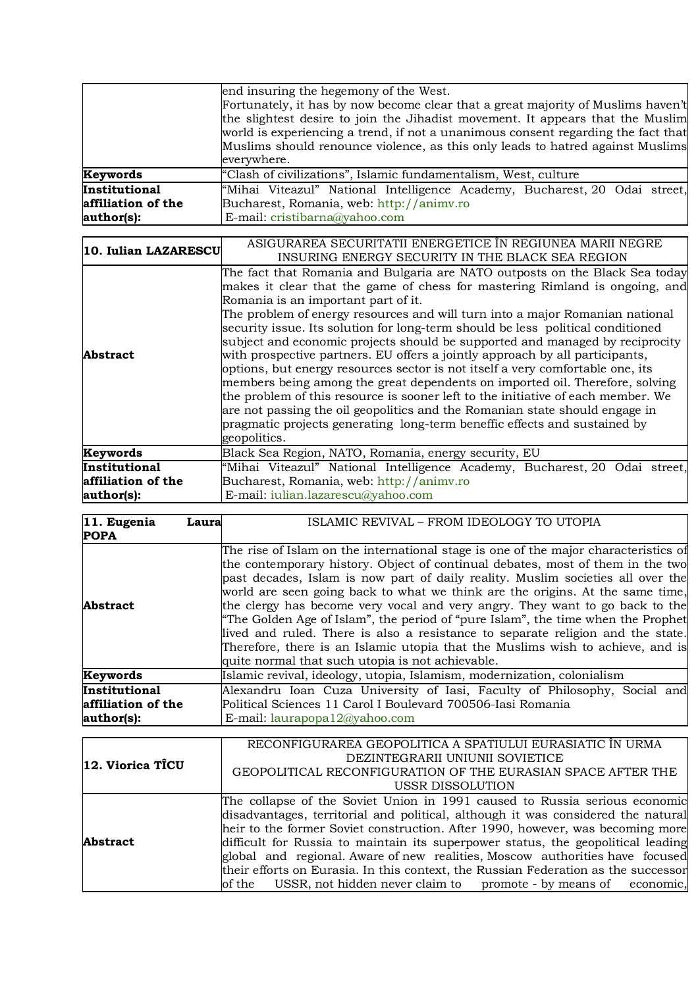|                      | end insuring the hegemony of the West.                                            |
|----------------------|-----------------------------------------------------------------------------------|
|                      | Fortunately, it has by now become clear that a great majority of Muslims haven't  |
|                      | the slightest desire to join the Jihadist movement. It appears that the Muslim    |
|                      | world is experiencing a trend, if not a unanimous consent regarding the fact that |
|                      | Muslims should renounce violence, as this only leads to hatred against Muslims    |
|                      | everywhere.                                                                       |
| Keywords             | "Clash of civilizations", Islamic fundamentalism, West, culture                   |
| Institutional        | "Mihai Viteazul" National Intelligence Academy, Bucharest, 20 Odai street,        |
| affiliation of the   | Bucharest, Romania, web: http://animv.ro                                          |
| author(s):           | E-mail: cristibarna@yahoo.com                                                     |
|                      |                                                                                   |
| 10. Iulian LAZARESCU | ASIGURAREA SECURITATII ENERGETICE ÎN REGIUNEA MARII NEGRE                         |
|                      | INSURING ENERGY SECURITY IN THE BLACK SEA REGION                                  |
|                      | The fact that Romania and Bulgaria are NATO outposts on the Black Sea today       |
|                      | makes it clear that the game of chess for mastering Rimland is ongoing, and       |
|                      | Romania is an important part of it.                                               |
|                      | The problem of energy resources and will turn into a major Romanian national      |
|                      | security issue. Its solution for long-term should be less political conditioned   |
|                      | subject and economic projects should be supported and managed by reciprocity      |
| Abstract             | with prospective partners. EU offers a jointly approach by all participants,      |
|                      | options, but energy resources sector is not itself a very comfortable one, its    |
|                      | members being among the great dependents on imported oil. Therefore, solving      |
|                      | the problem of this resource is sooner left to the initiative of each member. We  |
|                      | are not passing the oil geopolitics and the Romanian state should engage in       |
|                      | pragmatic projects generating long-term beneffic effects and sustained by         |
|                      | geopolitics.                                                                      |
| Keywords             | Black Sea Region, NATO, Romania, energy security, EU                              |
| Institutional        | "Mihai Viteazul" National Intelligence Academy, Bucharest, 20 Odai street,        |
| affiliation of the   | Bucharest, Romania, web: http://animv.ro                                          |
| author(s):           | E-mail: iulian.lazarescu@yahoo.com                                                |

| 11. Eugenia<br>Laura<br><b>POPA</b>               | ISLAMIC REVIVAL - FROM IDEOLOGY TO UTOPIA                                                                                                                                                                                                                                                                                                                                                                                                                                                                                                                                                                                                                                                                                              |
|---------------------------------------------------|----------------------------------------------------------------------------------------------------------------------------------------------------------------------------------------------------------------------------------------------------------------------------------------------------------------------------------------------------------------------------------------------------------------------------------------------------------------------------------------------------------------------------------------------------------------------------------------------------------------------------------------------------------------------------------------------------------------------------------------|
| Abstract                                          | The rise of Islam on the international stage is one of the major characteristics of<br>the contemporary history. Object of continual debates, most of them in the two<br>past decades, Islam is now part of daily reality. Muslim societies all over the<br>world are seen going back to what we think are the origins. At the same time,<br>the clergy has become very vocal and very angry. They want to go back to the<br>"The Golden Age of Islam", the period of "pure Islam", the time when the Prophet<br>lived and ruled. There is also a resistance to separate religion and the state.<br>Therefore, there is an Islamic utopia that the Muslims wish to achieve, and is<br>quite normal that such utopia is not achievable. |
| Keywords                                          | Islamic revival, ideology, utopia, Islamism, modernization, colonialism                                                                                                                                                                                                                                                                                                                                                                                                                                                                                                                                                                                                                                                                |
| Institutional<br>affiliation of the<br>author(s): | Alexandru Ioan Cuza University of Iasi, Faculty of Philosophy, Social and<br>Political Sciences 11 Carol I Boulevard 700506-Iasi Romania<br>E-mail: laurapopa12@yahoo.com                                                                                                                                                                                                                                                                                                                                                                                                                                                                                                                                                              |
| 12. Viorica TÎCU                                  | RECONFIGURAREA GEOPOLITICA A SPATIULUI EURASIATIC ÎN URMA<br>DEZINTEGRARII UNIUNII SOVIETICE<br>GEOPOLITICAL RECONFIGURATION OF THE EURASIAN SPACE AFTER THE<br>USSR DISSOLUTION                                                                                                                                                                                                                                                                                                                                                                                                                                                                                                                                                       |
| Abstract                                          | The collapse of the Soviet Union in 1991 caused to Russia serious economic<br>disadvantages, territorial and political, although it was considered the natural<br>heir to the former Soviet construction. After 1990, however, was becoming more<br>difficult for Russia to maintain its superpower status, the geopolitical leading<br>global and regional. Aware of new realities, Moscow authorities have focused<br>their efforts on Eurasia. In this context, the Russian Federation as the successor<br>USSR, not hidden never claim to promote - by means of<br>of the<br>economic.                                                                                                                                             |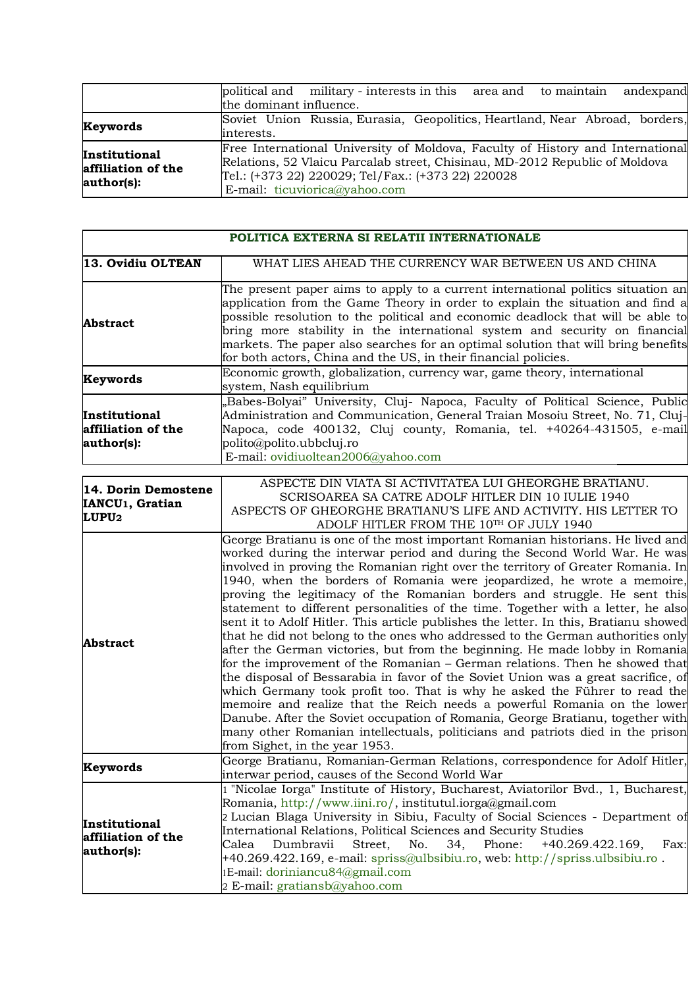|                                                   | andexpand<br>political and military - interests in this area and to maintain                                                                                                                                                                         |
|---------------------------------------------------|------------------------------------------------------------------------------------------------------------------------------------------------------------------------------------------------------------------------------------------------------|
|                                                   | the dominant influence.                                                                                                                                                                                                                              |
| Keywords                                          | Soviet Union Russia, Eurasia, Geopolitics, Heartland, Near Abroad, borders,                                                                                                                                                                          |
|                                                   | interests.                                                                                                                                                                                                                                           |
| Institutional<br>affiliation of the<br>author(s): | Free International University of Moldova, Faculty of History and International<br>Relations, 52 Vlaicu Parcalab street, Chisinau, MD-2012 Republic of Moldova<br>Tel.: (+373 22) 220029; Tel/Fax.: (+373 22) 220028<br>E-mail: ticuviorica@yahoo.com |

| POLITICA EXTERNA SI RELATII INTERNATIONALE                   |                                                                                                                                                                                                                                                                                                                                                                                                                                                                                                                                                                                                                                                                                                                                                                                                                                                                                                                                                                                                                                                                                                                                                                                                                                                                                             |
|--------------------------------------------------------------|---------------------------------------------------------------------------------------------------------------------------------------------------------------------------------------------------------------------------------------------------------------------------------------------------------------------------------------------------------------------------------------------------------------------------------------------------------------------------------------------------------------------------------------------------------------------------------------------------------------------------------------------------------------------------------------------------------------------------------------------------------------------------------------------------------------------------------------------------------------------------------------------------------------------------------------------------------------------------------------------------------------------------------------------------------------------------------------------------------------------------------------------------------------------------------------------------------------------------------------------------------------------------------------------|
| 13. Ovidiu OLTEAN                                            | WHAT LIES AHEAD THE CURRENCY WAR BETWEEN US AND CHINA                                                                                                                                                                                                                                                                                                                                                                                                                                                                                                                                                                                                                                                                                                                                                                                                                                                                                                                                                                                                                                                                                                                                                                                                                                       |
| <b>Abstract</b>                                              | The present paper aims to apply to a current international politics situation an<br>application from the Game Theory in order to explain the situation and find a<br>possible resolution to the political and economic deadlock that will be able to<br>bring more stability in the international system and security on financial<br>markets. The paper also searches for an optimal solution that will bring benefits<br>for both actors, China and the US, in their financial policies.                                                                                                                                                                                                                                                                                                                                                                                                                                                                                                                                                                                                                                                                                                                                                                                                  |
| Keywords                                                     | Economic growth, globalization, currency war, game theory, international<br>system, Nash equilibrium                                                                                                                                                                                                                                                                                                                                                                                                                                                                                                                                                                                                                                                                                                                                                                                                                                                                                                                                                                                                                                                                                                                                                                                        |
| Institutional<br>affiliation of the<br>author(s):            | "Babes-Bolyai" University, Cluj- Napoca, Faculty of Political Science, Public<br>Administration and Communication, General Traian Mosoiu Street, No. 71, Cluj-<br>Napoca, code 400132, Cluj county, Romania, tel. +40264-431505, e-mail<br>polito@polito.ubbcluj.ro<br>E-mail: ovidiuoltean2006@yahoo.com                                                                                                                                                                                                                                                                                                                                                                                                                                                                                                                                                                                                                                                                                                                                                                                                                                                                                                                                                                                   |
| 14. Dorin Demostene<br>IANCU <sub>1</sub> , Gratian<br>LUPU2 | ASPECTE DIN VIATA SI ACTIVITATEA LUI GHEORGHE BRATIANU.<br>SCRISOAREA SA CATRE ADOLF HITLER DIN 10 IULIE 1940<br>ASPECTS OF GHEORGHE BRATIANU'S LIFE AND ACTIVITY. HIS LETTER TO<br>ADOLF HITLER FROM THE 10TH OF JULY 1940                                                                                                                                                                                                                                                                                                                                                                                                                                                                                                                                                                                                                                                                                                                                                                                                                                                                                                                                                                                                                                                                 |
| <b>Abstract</b>                                              | George Bratianu is one of the most important Romanian historians. He lived and<br>worked during the interwar period and during the Second World War. He was<br>involved in proving the Romanian right over the territory of Greater Romania. In<br>1940, when the borders of Romania were jeopardized, he wrote a memoire,<br>proving the legitimacy of the Romanian borders and struggle. He sent this<br>statement to different personalities of the time. Together with a letter, he also<br>sent it to Adolf Hitler. This article publishes the letter. In this, Bratianu showed<br>that he did not belong to the ones who addressed to the German authorities only<br>after the German victories, but from the beginning. He made lobby in Romania<br>for the improvement of the Romanian – German relations. Then he showed that<br>the disposal of Bessarabia in favor of the Soviet Union was a great sacrifice, of<br>which Germany took profit too. That is why he asked the Führer to read the<br>memoire and realize that the Reich needs a powerful Romania on the lower<br>Danube. After the Soviet occupation of Romania, George Bratianu, together with<br>many other Romanian intellectuals, politicians and patriots died in the prison<br>from Sighet, in the year 1953. |
| Keywords                                                     | George Bratianu, Romanian-German Relations, correspondence for Adolf Hitler,<br>interwar period, causes of the Second World War                                                                                                                                                                                                                                                                                                                                                                                                                                                                                                                                                                                                                                                                                                                                                                                                                                                                                                                                                                                                                                                                                                                                                             |
| Institutional<br>affiliation of the<br>author(s):            | 1 "Nicolae Iorga" Institute of History, Bucharest, Aviatorilor Bvd., 1, Bucharest,<br>Romania, http://www.iini.ro/, institutul.iorga@gmail.com<br>2 Lucian Blaga University in Sibiu, Faculty of Social Sciences - Department of<br>International Relations, Political Sciences and Security Studies<br>Calea<br>Dumbravii<br>No.<br>Street,<br>34,<br>Phone:<br>$+40.269.422.169,$<br>Fax:<br>+40.269.422.169, e-mail: spriss@ulbsibiu.ro, web: http://spriss.ulbsibiu.ro.<br>1E-mail: doriniancu84@gmail.com<br>2 E-mail: gratiansb@yahoo.com                                                                                                                                                                                                                                                                                                                                                                                                                                                                                                                                                                                                                                                                                                                                             |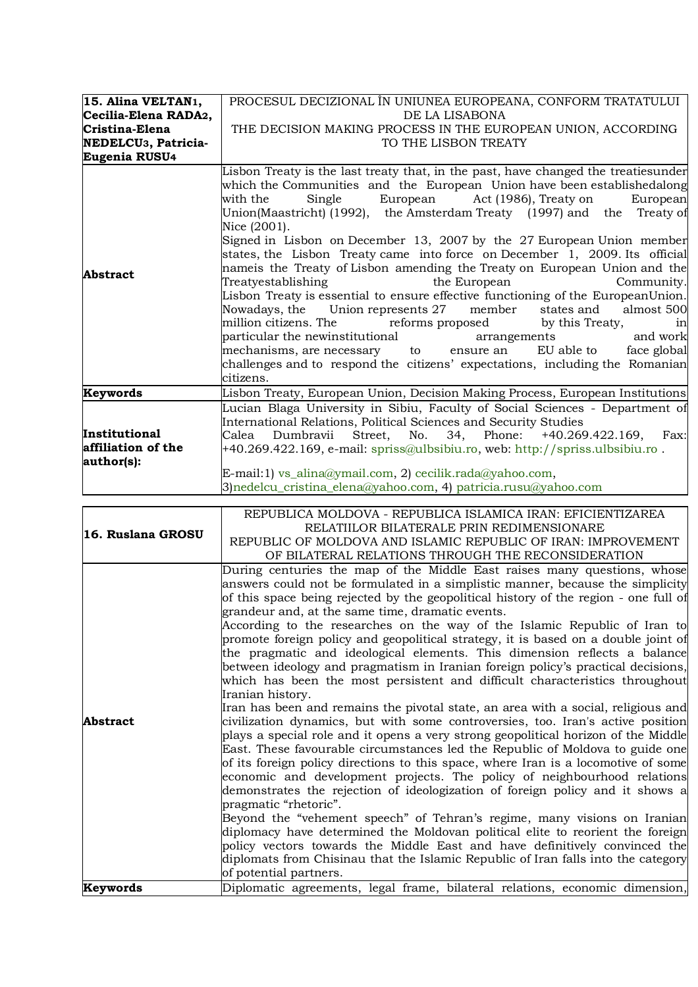| 15. Alina VELTAN1,<br>Cecilia-Elena RADA2,<br>Cristina-Elena<br>NEDELCU <sub>3</sub> , Patricia-<br>Eugenia RUSU4 | PROCESUL DECIZIONAL ÎN UNIUNEA EUROPEANA, CONFORM TRATATULUI<br>DE LA LISABONA<br>THE DECISION MAKING PROCESS IN THE EUROPEAN UNION, ACCORDING<br>TO THE LISBON TREATY<br>Lisbon Treaty is the last treaty that, in the past, have changed the treatiesunder                                                                                                                                                                                                                                                                                                                                                                                                                                                                                                                                                                                                                                                                                                                             |
|-------------------------------------------------------------------------------------------------------------------|------------------------------------------------------------------------------------------------------------------------------------------------------------------------------------------------------------------------------------------------------------------------------------------------------------------------------------------------------------------------------------------------------------------------------------------------------------------------------------------------------------------------------------------------------------------------------------------------------------------------------------------------------------------------------------------------------------------------------------------------------------------------------------------------------------------------------------------------------------------------------------------------------------------------------------------------------------------------------------------|
| <b>Abstract</b>                                                                                                   | which the Communities and the European Union have been establishedalong<br>Single European Act (1986), Treaty on<br>with the<br>European<br>Union(Maastricht) (1992), the Amsterdam Treaty (1997) and the Treaty of<br>Nice (2001).<br>Signed in Lisbon on December 13, 2007 by the 27 European Union member<br>states, the Lisbon Treaty came into force on December 1, 2009. Its official<br>nameis the Treaty of Lisbon amending the Treaty on European Union and the<br>Treatyestablishing<br>the European<br>Community.<br>Lisbon Treaty is essential to ensure effective functioning of the EuropeanUnion.<br>Nowadays, the Union represents 27 member<br>states and almost 500<br>million citizens. The state of reforms proposed<br>by this Treaty,<br>1n<br>particular the newinstitutional arrangements and work<br>mechanisms, are necessary to ensure an EU able to face global<br>challenges and to respond the citizens' expectations, including the Romanian<br>citizens. |
| Keywords                                                                                                          | Lisbon Treaty, European Union, Decision Making Process, European Institutions                                                                                                                                                                                                                                                                                                                                                                                                                                                                                                                                                                                                                                                                                                                                                                                                                                                                                                            |
| Institutional<br>affiliation of the<br>author(s):                                                                 | Lucian Blaga University in Sibiu, Faculty of Social Sciences - Department of<br>International Relations, Political Sciences and Security Studies<br>Calea Dumbravii Street, No. 34, Phone: +40.269.422.169, Fax:<br>+40.269.422.169, e-mail: spriss@ulbsibiu.ro, web: http://spriss.ulbsibiu.ro.<br>E-mail:1) vs_alina@ymail.com, 2) cecilik.rada@yahoo.com,<br>3) nedelcu_cristina_elena@yahoo.com, 4) patricia.rusu@yahoo.com                                                                                                                                                                                                                                                                                                                                                                                                                                                                                                                                                          |

| 16. Ruslana GROSU | REPUBLICA MOLDOVA - REPUBLICA ISLAMICA IRAN: EFICIENTIZAREA                                                                                               |
|-------------------|-----------------------------------------------------------------------------------------------------------------------------------------------------------|
|                   | RELATIILOR BILATERALE PRIN REDIMENSIONARE                                                                                                                 |
|                   | REPUBLIC OF MOLDOVA AND ISLAMIC REPUBLIC OF IRAN: IMPROVEMENT                                                                                             |
|                   | OF BILATERAL RELATIONS THROUGH THE RECONSIDERATION                                                                                                        |
|                   | During centuries the map of the Middle East raises many questions, whose                                                                                  |
|                   | answers could not be formulated in a simplistic manner, because the simplicity                                                                            |
|                   | of this space being rejected by the geopolitical history of the region - one full of                                                                      |
|                   | grandeur and, at the same time, dramatic events.                                                                                                          |
|                   | According to the researches on the way of the Islamic Republic of Iran to                                                                                 |
|                   | promote foreign policy and geopolitical strategy, it is based on a double joint of                                                                        |
|                   | the pragmatic and ideological elements. This dimension reflects a balance                                                                                 |
|                   | between ideology and pragmatism in Iranian foreign policy's practical decisions,                                                                          |
|                   | which has been the most persistent and difficult characteristics throughout                                                                               |
|                   | Iranian history.                                                                                                                                          |
|                   | Iran has been and remains the pivotal state, an area with a social, religious and                                                                         |
| <b>Abstract</b>   | civilization dynamics, but with some controversies, too. Iran's active position                                                                           |
|                   | plays a special role and it opens a very strong geopolitical horizon of the Middle                                                                        |
|                   | East. These favourable circumstances led the Republic of Moldova to guide one                                                                             |
|                   | of its foreign policy directions to this space, where Iran is a locomotive of some                                                                        |
|                   | economic and development projects. The policy of neighbourhood relations<br>demonstrates the rejection of ideologization of foreign policy and it shows a |
|                   | pragmatic "rhetoric".                                                                                                                                     |
|                   | Beyond the "vehement speech" of Tehran's regime, many visions on Iranian                                                                                  |
|                   | diplomacy have determined the Moldovan political elite to reorient the foreign                                                                            |
|                   | policy vectors towards the Middle East and have definitively convinced the                                                                                |
|                   | diplomats from Chisinau that the Islamic Republic of Iran falls into the category                                                                         |
|                   | of potential partners.                                                                                                                                    |
| Keywords          | Diplomatic agreements, legal frame, bilateral relations, economic dimension,                                                                              |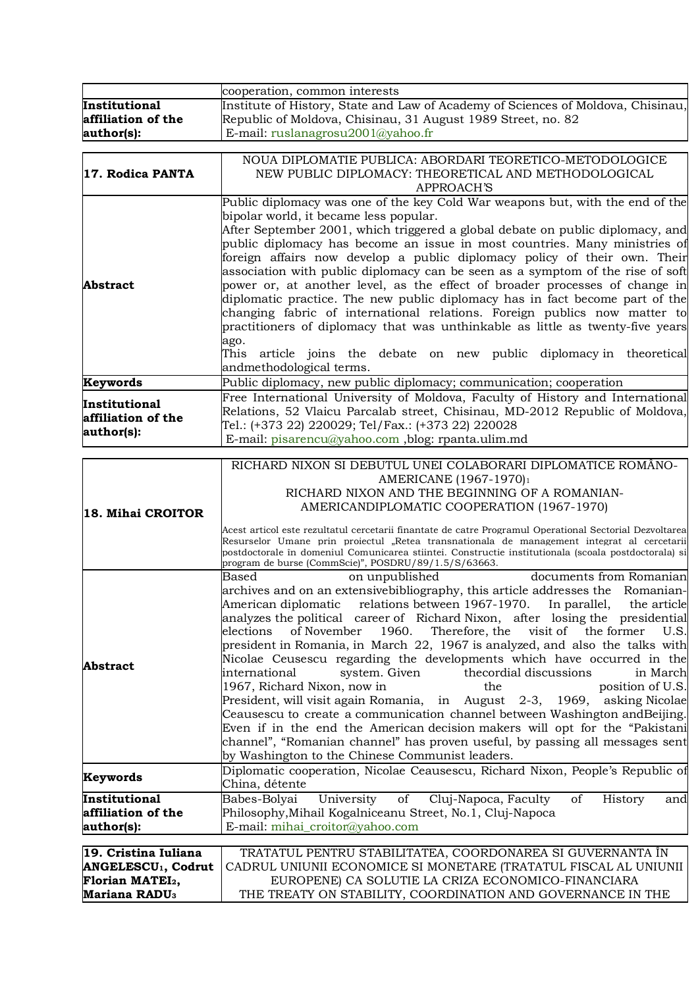|                                     | cooperation, common interests                                                                                                                                                                      |
|-------------------------------------|----------------------------------------------------------------------------------------------------------------------------------------------------------------------------------------------------|
| Institutional<br>affiliation of the | Institute of History, State and Law of Academy of Sciences of Moldova, Chisinau,<br>Republic of Moldova, Chisinau, 31 August 1989 Street, no. 82                                                   |
|                                     | E-mail: ruslanagrosu2001@yahoo.fr                                                                                                                                                                  |
| author(s):                          |                                                                                                                                                                                                    |
|                                     | NOUA DIPLOMATIE PUBLICA: ABORDARI TEORETICO-METODOLOGICE                                                                                                                                           |
| 17. Rodica PANTA                    | NEW PUBLIC DIPLOMACY: THEORETICAL AND METHODOLOGICAL                                                                                                                                               |
|                                     | <b>APPROACH'S</b>                                                                                                                                                                                  |
|                                     | Public diplomacy was one of the key Cold War weapons but, with the end of the                                                                                                                      |
|                                     | bipolar world, it became less popular.                                                                                                                                                             |
|                                     | After September 2001, which triggered a global debate on public diplomacy, and                                                                                                                     |
|                                     | public diplomacy has become an issue in most countries. Many ministries of                                                                                                                         |
|                                     | foreign affairs now develop a public diplomacy policy of their own. Their                                                                                                                          |
|                                     | association with public diplomacy can be seen as a symptom of the rise of soft                                                                                                                     |
| Abstract                            | power or, at another level, as the effect of broader processes of change in                                                                                                                        |
|                                     | diplomatic practice. The new public diplomacy has in fact become part of the                                                                                                                       |
|                                     | changing fabric of international relations. Foreign publics now matter to                                                                                                                          |
|                                     | practitioners of diplomacy that was unthinkable as little as twenty-five years                                                                                                                     |
|                                     | ago.                                                                                                                                                                                               |
|                                     | This article joins the debate on new public diplomacy in theoretical                                                                                                                               |
|                                     | andmethodological terms.                                                                                                                                                                           |
| Keywords                            | Public diplomacy, new public diplomacy; communication; cooperation                                                                                                                                 |
| Institutional                       | Free International University of Moldova, Faculty of History and International                                                                                                                     |
| affiliation of the                  | Relations, 52 Vlaicu Parcalab street, Chisinau, MD-2012 Republic of Moldova,                                                                                                                       |
| author(s):                          | Tel.: (+373 22) 220029; Tel/Fax.: (+373 22) 220028                                                                                                                                                 |
|                                     | E-mail: pisarencu@yahoo.com ,blog: rpanta.ulim.md                                                                                                                                                  |
|                                     | RICHARD NIXON SI DEBUTUL UNEI COLABORARI DIPLOMATICE ROMÂNO-                                                                                                                                       |
|                                     | AMERICANE (1967-1970)1                                                                                                                                                                             |
|                                     | RICHARD NIXON AND THE BEGINNING OF A ROMANIAN-                                                                                                                                                     |
|                                     | AMERICANDIPLOMATIC COOPERATION (1967-1970)                                                                                                                                                         |
| 18. Mihai CROITOR                   |                                                                                                                                                                                                    |
|                                     | Acest articol este rezultatul cercetarii finantate de catre Programul Operational Sectorial Dezvoltarea                                                                                            |
|                                     | Resurselor Umane prin proiectul "Retea transnationala de management integrat al cercetarii<br>postdoctorale în domeniul Comunicarea stiintei. Constructie institutionala (scoala postdoctorala) si |
|                                     | program de burse (CommScie)", POSDRU/89/1.5/S/63663.                                                                                                                                               |
|                                     | documents from Romanian<br>Based<br>on unpublished                                                                                                                                                 |
|                                     | archives and on an extensive bibliography, this article addresses the Romanian-                                                                                                                    |
|                                     | American diplomatic relations between 1967-1970. In parallel, the article                                                                                                                          |
|                                     | analyzes the political career of Richard Nixon, after losing the presidential                                                                                                                      |
|                                     | of November<br>1960.<br>Therefore, the<br>visit of<br>the former<br>elections<br>U.S.                                                                                                              |
|                                     | president in Romania, in March 22, 1967 is analyzed, and also the talks with                                                                                                                       |
| <b>Abstract</b>                     | Nicolae Ceusescu regarding the developments which have occurred in the                                                                                                                             |
|                                     | international<br>system. Given<br>thecordial discussions<br>in March                                                                                                                               |
|                                     | 1967, Richard Nixon, now in<br>position of U.S.<br>the                                                                                                                                             |
|                                     | President, will visit again Romania, in August 2-3, 1969, asking Nicolae<br>Ceausescu to create a communication channel between Washington and Beijing.                                            |
|                                     | Even if in the end the American decision makers will opt for the "Pakistani                                                                                                                        |
|                                     | channel", "Romanian channel" has proven useful, by passing all messages sent                                                                                                                       |
|                                     | by Washington to the Chinese Communist leaders.                                                                                                                                                    |
|                                     | Diplomatic cooperation, Nicolae Ceausescu, Richard Nixon, People's Republic of                                                                                                                     |
| Keywords                            | China, détente                                                                                                                                                                                     |
| Institutional                       | Babes-Bolyai<br>University<br>of<br>Cluj-Napoca, Faculty<br>of<br>History<br>and                                                                                                                   |

| 19. Cristina Iuliana      | TRATATUL PENTRU STABILITATEA, COORDONAREA SI GUVERNANTA ÎN                                              |
|---------------------------|---------------------------------------------------------------------------------------------------------|
|                           | <b>ANGELESCU<sub>1</sub>, Codrut</b>   CADRUL UNIUNII ECONOMICE SI MONETARE (TRATATUL FISCAL AL UNIUNII |
| <b>Florian MATEI2,</b>    | EUROPENE) CA SOLUTIE LA CRIZA ECONOMICO-FINANCIARA                                                      |
| Mariana RADU <sub>3</sub> | THE TREATY ON STABILITY, COORDINATION AND GOVERNANCE IN THE                                             |

Philosophy,Mihail Kogalniceanu Street, No.1, Cluj-Napoca

E-mail: mihai\_croitor@yahoo.com

**affiliation of the** 

**author(s):**